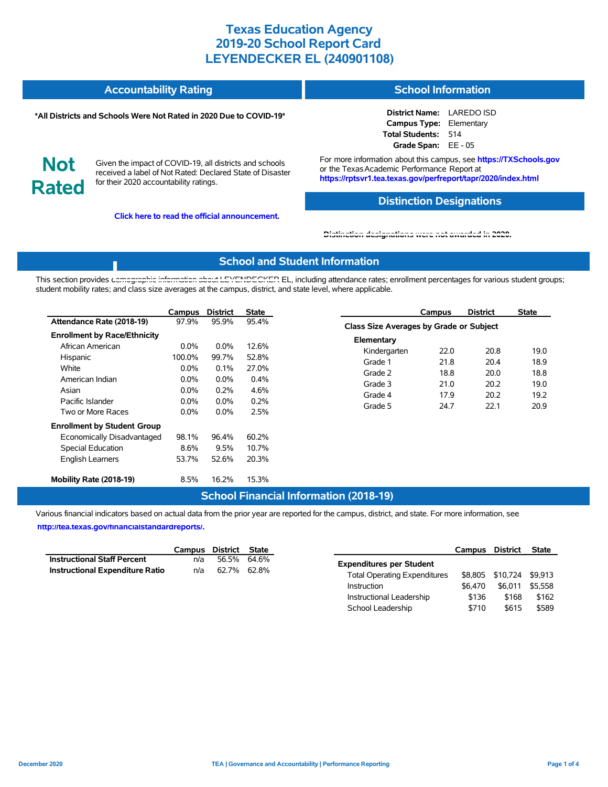#### **Accountability Rating School Information**

#### **\*All Districts and Schools Were Not Rated in 2020 Due to COVID-19\***

**District Name:** LAREDO ISD **Campus Type:** Elementary **Total Students:** 514 **Grade Span:** EE - 05

**Not Rated**

Given the impact of COVID-19, all districts and schools received a label of Not Rated: Declared State of Disaster for their 2020 accountability ratings.

**Click here to read the official announcement.**

For more information about this campus, see **https://TXSchools.gov** or the Texas Academic Performance Report at **https://rptsvr1.tea.texas.gov/perfreport/tapr/2020/index.html**

#### **Distinction Designations**

Instructional Leadership  $$136$  \$168 \$162 School Leadership  $$710$  \$615 \$589

#### **[Distinction designations were not awarded in 2020.](https://rptsvr1.tea.texas.gov/perfreport/tapr/2020/index.html)**

### **School and Student Information**

This section provides [demographic information about LEYENDECKER](https://tea.texas.gov/about-tea/news-and-multimedia/correspondence/taa-letters/every-student-succeeds-act-essa-waiver-approval-2020-state-academic-accountability) EL, including attendance rates; enrollment percentages for various student groups; student mobility rates; and class size averages at the campus, district, and state level, where applicable.

|                                                                                                                                             | Campus                                   | <b>District</b>                       | <b>State</b>                     |                                                  | Campus                                         | <b>District</b>      | <b>State</b>         |  |  |  |  |
|---------------------------------------------------------------------------------------------------------------------------------------------|------------------------------------------|---------------------------------------|----------------------------------|--------------------------------------------------|------------------------------------------------|----------------------|----------------------|--|--|--|--|
| Attendance Rate (2018-19)                                                                                                                   | 97.9%                                    | 95.9%                                 | 95.4%                            |                                                  | <b>Class Size Averages by Grade or Subject</b> |                      |                      |  |  |  |  |
| <b>Enrollment by Race/Ethnicity</b><br>African American<br>Hispanic<br>White                                                                | $0.0\%$<br>100.0%<br>$0.0\%$             | $0.0\%$<br>99.7%<br>0.1%              | 12.6%<br>52.8%<br>27.0%          | Elementary<br>Kindergarten<br>Grade 1<br>Grade 2 | 22.0<br>21.8<br>18.8                           | 20.8<br>20.4<br>20.0 | 19.0<br>18.9<br>18.8 |  |  |  |  |
| American Indian<br>Asian<br>Pacific Islander<br>Two or More Races                                                                           | $0.0\%$<br>$0.0\%$<br>$0.0\%$<br>$0.0\%$ | $0.0\%$<br>0.2%<br>$0.0\%$<br>$0.0\%$ | 0.4%<br>4.6%<br>0.2%<br>2.5%     | Grade 3<br>Grade 4<br>Grade 5                    | 21.0<br>17.9<br>24.7                           | 20.2<br>20.2<br>22.1 | 19.0<br>19.2<br>20.9 |  |  |  |  |
| <b>Enrollment by Student Group</b><br>Economically Disadvantaged<br>Special Education<br><b>English Learners</b><br>Mobility Rate (2018-19) | 98.1%<br>8.6%<br>53.7%<br>8.5%           | 96.4%<br>9.5%<br>52.6%<br>16.2%       | 60.2%<br>10.7%<br>20.3%<br>15.3% |                                                  |                                                |                      |                      |  |  |  |  |

### **School Financial Information (2018-19)**

Various financial indicators based on actual data from the prior year are reported for the campus, district, and state. For more information, see

**[http://tea.texas.gov/financialstandardreports/.](http://tea.texas.gov/financialstandardreports/)**

|                                        |     | Campus District State | Campus                              | District                 | State   |
|----------------------------------------|-----|-----------------------|-------------------------------------|--------------------------|---------|
| <b>Instructional Staff Percent</b>     | n/a | 56.5% 64.6%           | <b>Expenditures per Student</b>     |                          |         |
| <b>Instructional Expenditure Ratio</b> | n/a | 62.7% 62.8%           | <b>Total Operating Expenditures</b> | \$8,805 \$10,724 \$9,913 |         |
|                                        |     |                       | \$6.470<br>Instruction              | \$6,011                  | \$5,558 |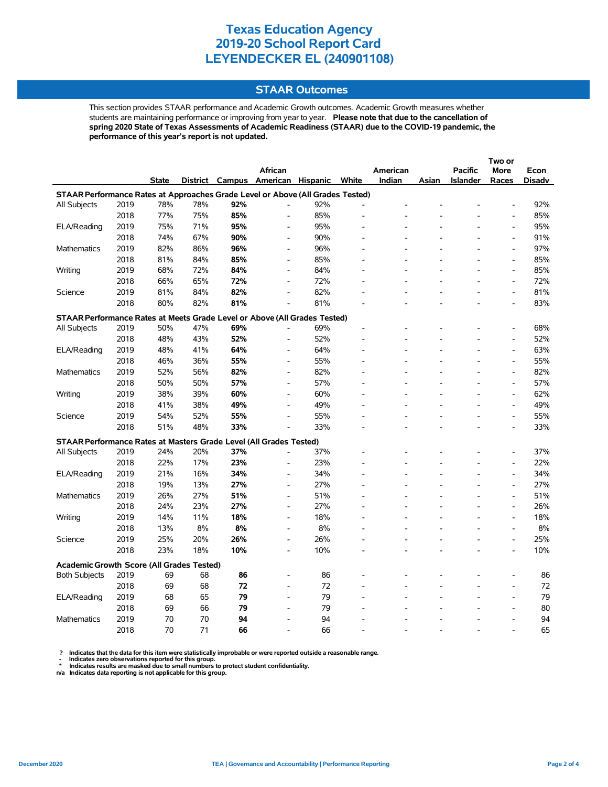### **STAAR Outcomes**

This section provides STAAR performance and Academic Growth outcomes. Academic Growth measures whether students are maintaining performance or improving from year to year. **Please note that due to the cancellation of spring 2020 State of Texas Assessments of Academic Readiness (STAAR) due to the COVID-19 pandemic, the performance of this year's report is not updated.**

|                                                                                |      |              |     |     | <b>African</b>                    |     |       | American |       | <b>Pacific</b> | <b>More</b>                  | Econ          |
|--------------------------------------------------------------------------------|------|--------------|-----|-----|-----------------------------------|-----|-------|----------|-------|----------------|------------------------------|---------------|
|                                                                                |      | <b>State</b> |     |     | District Campus American Hispanic |     | White | Indian   | Asian | Islander       | Races                        | <b>Disadv</b> |
| STAAR Performance Rates at Approaches Grade Level or Above (All Grades Tested) |      |              |     |     |                                   |     |       |          |       |                |                              |               |
| All Subjects                                                                   | 2019 | 78%          | 78% | 92% | L,                                | 92% |       |          |       |                |                              | 92%           |
|                                                                                | 2018 | 77%          | 75% | 85% | $\frac{1}{2}$                     | 85% |       |          |       |                | $\qquad \qquad \blacksquare$ | 85%           |
| ELA/Reading                                                                    | 2019 | 75%          | 71% | 95% |                                   | 95% |       |          |       |                | $\overline{a}$               | 95%           |
|                                                                                | 2018 | 74%          | 67% | 90% | $\overline{a}$                    | 90% |       |          |       |                | $\overline{a}$               | 91%           |
| <b>Mathematics</b>                                                             | 2019 | 82%          | 86% | 96% | $\overline{\phantom{a}}$          | 96% |       |          |       |                | $\overline{a}$               | 97%           |
|                                                                                | 2018 | 81%          | 84% | 85% | $\overline{a}$                    | 85% |       |          |       |                | $\overline{a}$               | 85%           |
| Writing                                                                        | 2019 | 68%          | 72% | 84% | L,                                | 84% |       |          |       |                | $\overline{a}$               | 85%           |
|                                                                                | 2018 | 66%          | 65% | 72% | L,                                | 72% |       |          |       |                | $\overline{a}$               | 72%           |
| Science                                                                        | 2019 | 81%          | 84% | 82% | $\overline{a}$                    | 82% |       |          |       |                | $\qquad \qquad \blacksquare$ | 81%           |
|                                                                                | 2018 | 80%          | 82% | 81% |                                   | 81% |       |          |       |                | $\overline{a}$               | 83%           |
| STAAR Performance Rates at Meets Grade Level or Above (All Grades Tested)      |      |              |     |     |                                   |     |       |          |       |                |                              |               |
| All Subjects                                                                   | 2019 | 50%          | 47% | 69% |                                   | 69% |       |          |       |                | $\overline{a}$               | 68%           |
|                                                                                | 2018 | 48%          | 43% | 52% | $\overline{a}$                    | 52% |       |          |       |                | $\overline{a}$               | 52%           |
| ELA/Reading                                                                    | 2019 | 48%          | 41% | 64% | $\qquad \qquad \blacksquare$      | 64% |       |          |       |                | $\qquad \qquad \blacksquare$ | 63%           |
|                                                                                | 2018 | 46%          | 36% | 55% | $\overline{a}$                    | 55% |       |          |       |                | $\overline{a}$               | 55%           |
| <b>Mathematics</b>                                                             | 2019 | 52%          | 56% | 82% | $\overline{a}$                    | 82% |       |          |       |                | $\qquad \qquad \blacksquare$ | 82%           |
|                                                                                | 2018 | 50%          | 50% | 57% | $\overline{\phantom{a}}$          | 57% |       |          |       |                | $\qquad \qquad \blacksquare$ | 57%           |
| Writing                                                                        | 2019 | 38%          | 39% | 60% | $\overline{\phantom{a}}$          | 60% |       |          |       |                | $\qquad \qquad \blacksquare$ | 62%           |
|                                                                                | 2018 | 41%          | 38% | 49% | $\overline{a}$                    | 49% |       |          |       |                | $\overline{a}$               | 49%           |
| Science                                                                        | 2019 | 54%          | 52% | 55% | $\overline{a}$                    | 55% |       |          |       |                | L,                           | 55%           |
|                                                                                | 2018 | 51%          | 48% | 33% | $\overline{a}$                    | 33% |       |          |       |                | $\overline{a}$               | 33%           |
| STAAR Performance Rates at Masters Grade Level (All Grades Tested)             |      |              |     |     |                                   |     |       |          |       |                |                              |               |
| All Subjects                                                                   | 2019 | 24%          | 20% | 37% |                                   | 37% |       |          |       |                | $\overline{a}$               | 37%           |
|                                                                                | 2018 | 22%          | 17% | 23% | $\overline{a}$                    | 23% |       |          |       |                | $\overline{\phantom{a}}$     | 22%           |
| ELA/Reading                                                                    | 2019 | 21%          | 16% | 34% | $\overline{a}$                    | 34% |       |          |       |                | $\overline{a}$               | 34%           |
|                                                                                | 2018 | 19%          | 13% | 27% | $\overline{\phantom{a}}$          | 27% |       |          |       |                | $\overline{\phantom{a}}$     | 27%           |
| Mathematics                                                                    | 2019 | 26%          | 27% | 51% | $\overline{\phantom{a}}$          | 51% |       |          |       |                | L,                           | 51%           |
|                                                                                | 2018 | 24%          | 23% | 27% | $\overline{a}$                    | 27% |       |          |       |                | $\overline{\phantom{a}}$     | 26%           |
| Writing                                                                        | 2019 | 14%          | 11% | 18% | $\overline{\phantom{a}}$          | 18% |       |          |       |                | $\overline{\phantom{a}}$     | 18%           |
|                                                                                | 2018 | 13%          | 8%  | 8%  | $\overline{a}$                    | 8%  |       |          |       |                | $\overline{a}$               | 8%            |
| Science                                                                        | 2019 | 25%          | 20% | 26% | $\overline{a}$                    | 26% |       |          |       |                | $\overline{a}$               | 25%           |
|                                                                                | 2018 | 23%          | 18% | 10% | $\overline{a}$                    | 10% |       |          |       |                | $\overline{a}$               | 10%           |
|                                                                                |      |              |     |     |                                   |     |       |          |       |                |                              |               |
| <b>Academic Growth Score (All Grades Tested)</b>                               |      |              |     |     |                                   |     |       |          |       |                |                              |               |
| <b>Both Subjects</b>                                                           | 2019 | 69           | 68  | 86  |                                   | 86  |       |          |       |                | L,                           | 86            |
|                                                                                | 2018 | 69           | 68  | 72  | $\overline{a}$                    | 72  |       |          |       |                | $\overline{a}$               | 72            |
| ELA/Reading                                                                    | 2019 | 68           | 65  | 79  |                                   | 79  |       |          |       |                | $\overline{a}$               | 79            |
|                                                                                | 2018 | 69           | 66  | 79  |                                   | 79  |       |          |       |                |                              | 80            |
| <b>Mathematics</b>                                                             | 2019 | 70           | 70  | 94  |                                   | 94  |       |          |       |                | L,                           | 94            |
|                                                                                | 2018 | 70           | 71  | 66  |                                   | 66  |       |          |       |                |                              | 65            |

? Indicates that the data for this item were statistically improbable or were reported outside a reasonable range.<br>- Indicates zero observations reported for this group.<br>\* Indicates results are masked due to small numbers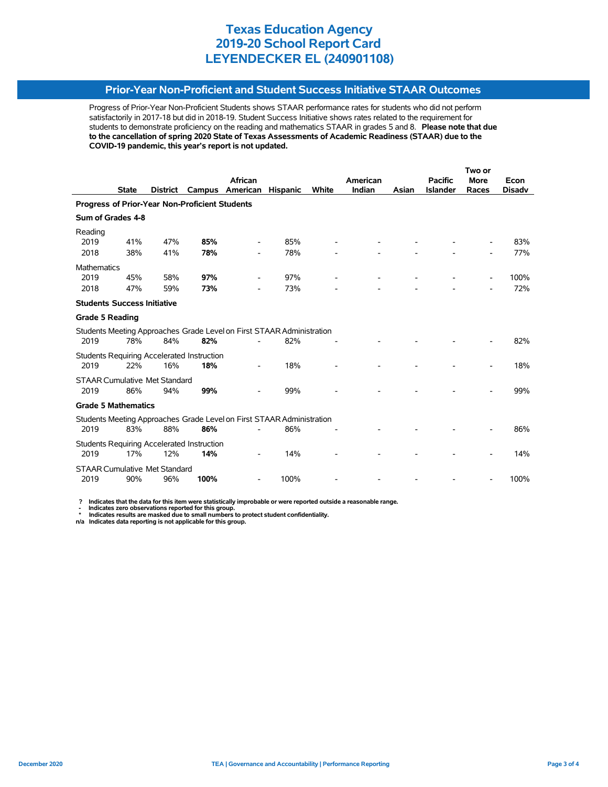### **Prior-Year Non-Proficient and Student Success Initiative STAAR Outcomes**

Progress of Prior-Year Non-Proficient Students shows STAAR performance rates for students who did not perform satisfactorily in 2017-18 but did in 2018-19. Student Success Initiative shows rates related to the requirement for students to demonstrate proficiency on the reading and mathematics STAAR in grades 5 and 8. **Please note that due to the cancellation of spring 2020 State of Texas Assessments of Academic Readiness (STAAR) due to the COVID-19 pandemic, this year's report is not updated.**

|                                                                       |              |                                                       |                                                                                        |                                                                                                      |                 |                                                                                       |        | Two or         |                 |               |  |
|-----------------------------------------------------------------------|--------------|-------------------------------------------------------|----------------------------------------------------------------------------------------|------------------------------------------------------------------------------------------------------|-----------------|---------------------------------------------------------------------------------------|--------|----------------|-----------------|---------------|--|
|                                                                       |              |                                                       | <b>African</b>                                                                         |                                                                                                      |                 | American                                                                              |        | <b>Pacific</b> | <b>More</b>     | Econ          |  |
|                                                                       |              |                                                       |                                                                                        |                                                                                                      |                 |                                                                                       |        |                |                 | <b>Disadv</b> |  |
| <b>Progress of Prior-Year Non-Proficient Students</b>                 |              |                                                       |                                                                                        |                                                                                                      |                 |                                                                                       |        |                |                 |               |  |
| Sum of Grades 4-8                                                     |              |                                                       |                                                                                        |                                                                                                      |                 |                                                                                       |        |                |                 |               |  |
|                                                                       |              |                                                       |                                                                                        |                                                                                                      |                 |                                                                                       |        |                |                 |               |  |
| 41%                                                                   | 47%          | 85%                                                   |                                                                                        | 85%                                                                                                  |                 |                                                                                       |        |                |                 | 83%           |  |
| 38%                                                                   | 41%          | 78%                                                   |                                                                                        | 78%                                                                                                  |                 |                                                                                       |        |                |                 | 77%           |  |
| <b>Mathematics</b>                                                    |              |                                                       |                                                                                        |                                                                                                      |                 |                                                                                       |        |                |                 |               |  |
| 45%                                                                   | 58%          | 97%                                                   |                                                                                        | 97%                                                                                                  |                 |                                                                                       |        |                |                 | 100%          |  |
| 47%                                                                   | 59%          | 73%                                                   | ۰                                                                                      | 73%                                                                                                  |                 |                                                                                       |        |                |                 | 72%           |  |
|                                                                       |              |                                                       |                                                                                        |                                                                                                      |                 |                                                                                       |        |                |                 |               |  |
| <b>Grade 5 Reading</b>                                                |              |                                                       |                                                                                        |                                                                                                      |                 |                                                                                       |        |                |                 |               |  |
|                                                                       |              |                                                       |                                                                                        |                                                                                                      |                 |                                                                                       |        |                |                 |               |  |
| 78%                                                                   | 84%          | 82%                                                   |                                                                                        | 82%                                                                                                  |                 |                                                                                       |        |                |                 | 82%           |  |
|                                                                       |              |                                                       |                                                                                        |                                                                                                      |                 |                                                                                       |        |                |                 |               |  |
| 22%                                                                   | 16%          | 18%                                                   |                                                                                        | 18%                                                                                                  |                 |                                                                                       |        |                |                 | 18%           |  |
|                                                                       |              |                                                       |                                                                                        |                                                                                                      |                 |                                                                                       |        |                |                 |               |  |
| 86%                                                                   | 94%          | 99%                                                   |                                                                                        | 99%                                                                                                  |                 |                                                                                       |        |                |                 | 99%           |  |
| <b>Grade 5 Mathematics</b>                                            |              |                                                       |                                                                                        |                                                                                                      |                 |                                                                                       |        |                |                 |               |  |
| Students Meeting Approaches Grade Level on First STAAR Administration |              |                                                       |                                                                                        |                                                                                                      |                 |                                                                                       |        |                |                 |               |  |
| 83%                                                                   | 88%          | 86%                                                   |                                                                                        | 86%                                                                                                  |                 |                                                                                       |        |                |                 | 86%           |  |
|                                                                       |              |                                                       |                                                                                        |                                                                                                      |                 |                                                                                       |        |                |                 |               |  |
| 17%                                                                   | 12%          | 14%                                                   |                                                                                        | 14%                                                                                                  |                 |                                                                                       |        |                |                 | 14%           |  |
|                                                                       |              |                                                       |                                                                                        |                                                                                                      |                 |                                                                                       |        |                |                 |               |  |
| 90%                                                                   | 96%          | 100%                                                  |                                                                                        | 100%                                                                                                 |                 |                                                                                       |        |                |                 | 100%          |  |
|                                                                       | <b>State</b> | <b>District</b><br><b>Students Success Initiative</b> | Campus<br><b>STAAR Cumulative Met Standard</b><br><b>STAAR Cumulative Met Standard</b> | American<br>Students Requiring Accelerated Instruction<br>Students Requiring Accelerated Instruction | <b>Hispanic</b> | <b>White</b><br>Students Meeting Approaches Grade Level on First STAAR Administration | Indian | Asian          | <b>Islander</b> | Races         |  |

 **? Indicates that the data for this item were statistically improbable or were reported outside a reasonable range.**

 **- Indicates zero observations reported for this group. \* Indicates results are masked due to small numbers to protect student confidentiality.**

**n/a Indicates data reporting is not applicable for this group.**